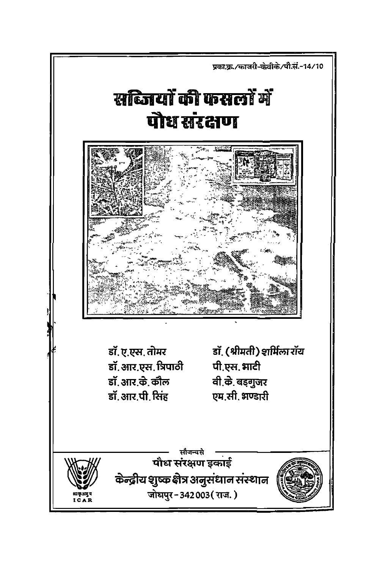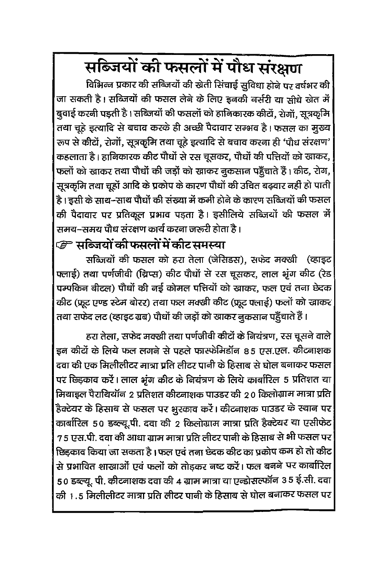# सब्जियों की फसलों में पौध संरक्षण

विभिन्न प्रकार की सब्जियों की खेती सिंचाई सुविधा होने पर वर्षभर की जा सकती है। सब्जियों की फसल लेने के लिए इनकी नर्सरी या सीधे खेत में बुवाई करनी पड़ती है । सब्जियों की फसलों को हानिकारक कीटों, रोगों, सूत्रकृमि तथा चूहे इत्यादि से बचाव करके ही अच्छी पैदावार सम्भव है। फसल का मूख्य रूप से कीटों, रोगों, सूत्रकृमि तथा चूहे इत्यादि से बचाव करना ही 'पौध संरक्षण' कहलाता है। हानिकारक कीट पौधों से रस चूसकर, पौधों की पत्तियों को खाकर, फलों को खाकर तथा पौधों की जड़ों को खाकर नुकसान पहुँचाते हैं। कीट, रोग, सूत्रकृमि तथा चूहों आदि के प्रकोप के कारण पौधों की उचित बढ़वार नहीं हो पाती है। इसी के साथ-साथ पौधों की संख्या में कमी होने के कारण सब्जियों की फसल की पैदावार पर प्रतिकूल प्रभाव पड़ता है। इसीलिये सब्जियों की फसल में समय-समय पौध संरक्षण कार्य करना जरूरी होता है ।

#### *ु*= सब्जियों की फसलों में कीट समस्या

सब्जियों की फसल को हरा तेला (जेसिडस), सफेद मक्खी (व्हाइट फ्लाई) तथा पर्णजीवी (थ्रिप्स) कीट पौधों से रस चूसकर, लाल भूंग कीट (रेड पम्पकिन बीटल) पौधों की नई कोमल पत्तियों को खाकर, फल एवं तना छेदक कीट (फ्रूट एण्ड स्टेम बोरर) तथा फल मक्खी कीट (फ्रूट फ्लाई) फलों को खाकर तथा सफेद लट (व्हाइट ग्रब) पौधों की जड़ों को खाकर नुकसान पहुँचाते हैं।

हरा तेला, सफेद मक्खी तथा पर्णजीवी कीटों के नियंत्रण, रस चूसने वाले इन कीटों के लिये फल लगने से पहले फास्फेमिडॉन 85 एस.एल. कीटनाशक दवा की एक मिलीलीटर मात्रा प्रति लीटर पानी के हिसाब से घोल बनाकर फसल पर छिड़काव करें। लाल भूंग कीट के नियंत्रण के लिये कार्बारिल 5 प्रतिशत या मियाइल पैराथियॉन २ प्रतिशत कीटनाशक पाउडर की २० किलोग्राम मात्रा प्रति हैक्टेयर के हिसाब से फसल पर भुरकाव करें। कीटनाशक पाउडर के स्थान पर कार्बारिल 50 डब्ल्यू.पी. दवा की 2 किलोग्राम मात्रा प्रति हैक्टेयर या एसीफेट 7 5 एस.पी. दवा की आधा ग्राम मात्रा प्रति लीटर पानी के हिसाब से भी फसल पर छिडकाव किया जा सकता है। फल एवं तना छेदक कीट का प्रकोप कम हो तो कीट से प्रभावित शाखाओं एवं फलों को तोड़कर नष्ट करें। फल बनने पर कार्बारिल 50 डब्ल्यू. पी. कीटनाशक दवा की 4 ग्राम मात्रा या एन्डोसल्फॉन 35 ई.सी. दवा की 1.5 मिलीलीटर मात्रा प्रति लीटर पानी के हिसाब से घोल बनाकर फसल पर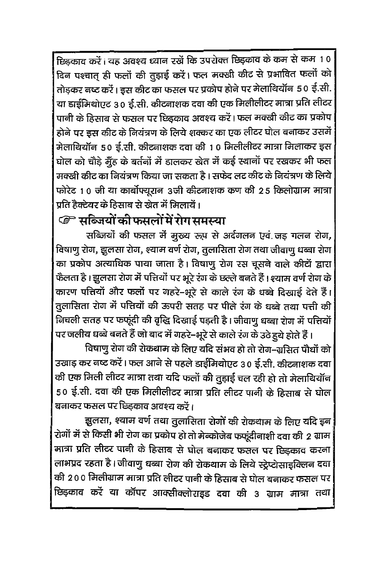छिड़काव करें। यह अवश्य ध्यान रखें कि उपरोक्त छिड़काव के कम से कम 10 दिन पश्चात् ही फलों की तुड़ाई करें। फल मक्खी कीट से प्रभावित फलों को तोड़कर नष्ट करें। इस कीट का फसल पर प्रकोप होने पर मेलाथियॉन 50 ई.सी. या डाईमिथोएट 30 ई.सी. कीटनाशक दवा की एक मिलीलीटर मात्रा प्रति लीटर पानी के हिसाब से फसल पर छिडकाव अवश्य करें। फल मक्खी कीट का प्रकोप होने पर इस कीट के नियंत्रण के लिये शक्कर का एक लीटर घोल बनाकर उसमें मेलायियॉन 50 ई.सी. कीटनाशक दवा की 10 मिलीलीटर मात्रा मिलाकर इस घोल को चौड़े मूँह के बर्तनों में डालकर खेत में कई स्थानों पर रखकर भी फल मक्खी कीट का नियंत्रण किया जा सकता है। सफेद लट कीट के नियंत्रण के लिये फोरेट 10 जी या कार्बोफ्यूरान 3जी कीटनाशक कण की 25 किलोग्राम मात्रा प्रति हैक्टेयर के हिसाब से खेत में मिलायें।

### *ि* सब्जियों की फसलों में रोग समस्या

सब्जियों की फसल में मुख्य रूप से अर्दगलन एवं जड़ गलन रोग, विषाणु रोग, झूलसा रोग, श्याम वर्ण रोग, तुलासिता रोग तथा जीवाणु धब्बा रोग का प्रकोप अत्याधिक पाया जाता है। विषाणु रोग रस चूसने वाले कीटों द्वारा फैलता है। झूलसा रोग में पत्तियों पर भूरे रंग के छल्ले बनते हैं। श्याम वर्ण रोग के कारण पत्तियों और फलों पर गहरे-भूरे से काले रंग के धब्बे दिखाई देते हैं। तुलासिता रोग में पत्तियों की ऊपरी सतह पर पीले रंग के धब्बे तथा पत्ती की निचली सतह पर फफूंदी की वृद्धि दिखाई पड़ती है। जीवाणु धब्बा रोग में पत्तियों पर जलीय धब्बे बनते हैं जो बाद में गहरे-भूरे से काले रंग के उठे हुये होते हैं ।

विषाणु रोग की रोकथाम के लिए यदि संभव हो तो रोग-ग्रुसित पौधों को उखाड कर नष्ट करें। फल आने से पहले डाईमिथोएट 30 ई.सी. कीटनाशक दवा की एक मिली लीटर मात्रा तथा यदि फलों की तुड़ाई चल रही हो तो मेलाथियॉन 50 ई.सी. दवा की एक मिलीलीटर मात्रा प्रति लीटर पानी के हिसाब से घोल बनाकर फसल पर छिडकाव अवश्य करें।

झूलसा, श्याम वर्ण तथा तुलासिता रोगों की रोकथाम के लिए यदि इन रोगों में से किसी भी रोग का प्रकोप हो तो मेन्कोजेब फफूंदीनाशी दवा की 2 ग्राम मात्रा प्रति लीटर पानी के हिसाब से घोल बनाकर फसल पर छिड़काव करना लाभप्रद रहता है। जीवाणु धब्बा रोग की रोकथाम के लिये स्ट्रेप्टोसाइक्लिन दवा की 200 मिलीग्राम मात्रा प्रति लीटर पानी के हिसाब से घोल बनाकर फसल पर| छिड़काव करें या कॉपर आक्सीक्लोराइड दवा की 3 ग्राम मात्रा तथा